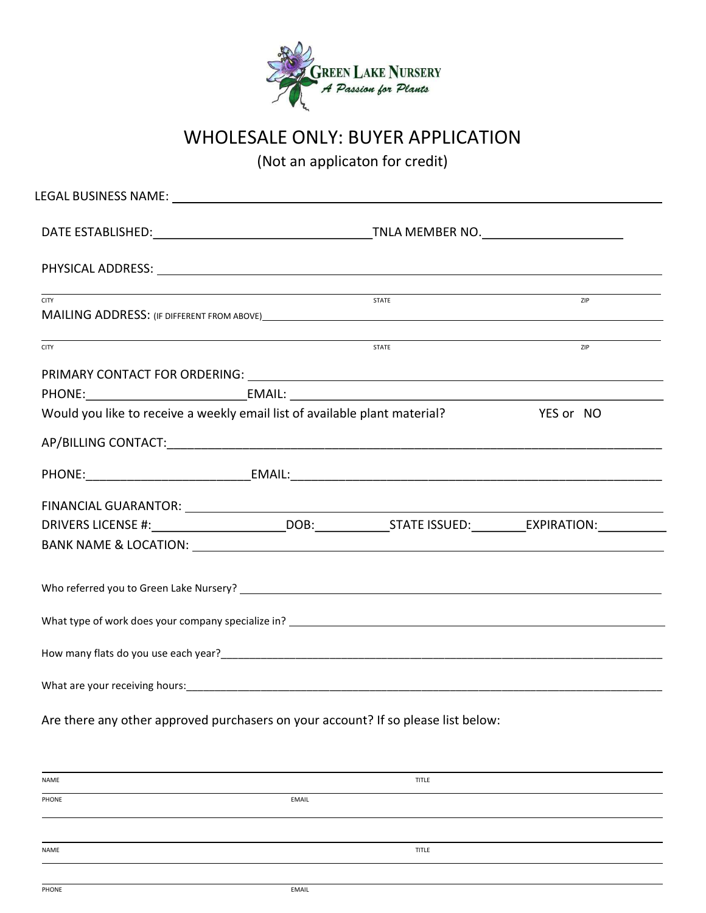

## WHOLESALE ONLY: BUYER APPLICATION

(Not an applicaton for credit)

| <b>CITY</b>                                                                                                                                                                                                                    |  | STATE        | <b>ZIP</b> |  |  |  |
|--------------------------------------------------------------------------------------------------------------------------------------------------------------------------------------------------------------------------------|--|--------------|------------|--|--|--|
| <b>CITY</b>                                                                                                                                                                                                                    |  | <b>STATE</b> | <b>ZIP</b> |  |  |  |
|                                                                                                                                                                                                                                |  |              |            |  |  |  |
| Would you like to receive a weekly email list of available plant material? VES or NO                                                                                                                                           |  |              |            |  |  |  |
|                                                                                                                                                                                                                                |  |              |            |  |  |  |
|                                                                                                                                                                                                                                |  |              |            |  |  |  |
| FINANCIAL GUARANTOR: University of the contract of the contract of the contract of the contract of the contract of the contract of the contract of the contract of the contract of the contract of the contract of the contrac |  |              |            |  |  |  |
|                                                                                                                                                                                                                                |  |              |            |  |  |  |
|                                                                                                                                                                                                                                |  |              |            |  |  |  |
|                                                                                                                                                                                                                                |  |              |            |  |  |  |
|                                                                                                                                                                                                                                |  |              |            |  |  |  |
|                                                                                                                                                                                                                                |  |              |            |  |  |  |

Are there any other approved purchasers on your account? If so please list below:

| NAME  |       | TITLE |
|-------|-------|-------|
| PHONE | EMAIL |       |
|       |       |       |
| NAME  |       | TITLE |
|       |       |       |